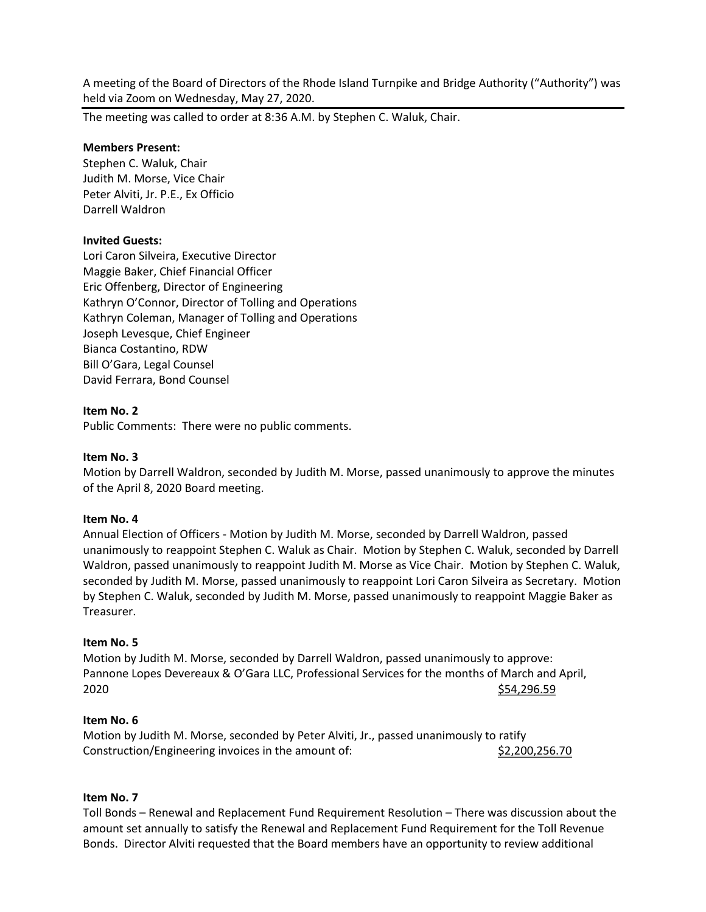A meeting of the Board of Directors of the Rhode Island Turnpike and Bridge Authority ("Authority") was held via Zoom on Wednesday, May 27, 2020.

The meeting was called to order at 8:36 A.M. by Stephen C. Waluk, Chair.

#### **Members Present:**

Stephen C. Waluk, Chair Judith M. Morse, Vice Chair Peter Alviti, Jr. P.E., Ex Officio Darrell Waldron

## **Invited Guests:**

Lori Caron Silveira, Executive Director Maggie Baker, Chief Financial Officer Eric Offenberg, Director of Engineering Kathryn O'Connor, Director of Tolling and Operations Kathryn Coleman, Manager of Tolling and Operations Joseph Levesque, Chief Engineer Bianca Costantino, RDW Bill O'Gara, Legal Counsel David Ferrara, Bond Counsel

#### **Item No. 2**

Public Comments: There were no public comments.

#### **Item No. 3**

Motion by Darrell Waldron, seconded by Judith M. Morse, passed unanimously to approve the minutes of the April 8, 2020 Board meeting.

#### **Item No. 4**

Annual Election of Officers - Motion by Judith M. Morse, seconded by Darrell Waldron, passed unanimously to reappoint Stephen C. Waluk as Chair. Motion by Stephen C. Waluk, seconded by Darrell Waldron, passed unanimously to reappoint Judith M. Morse as Vice Chair. Motion by Stephen C. Waluk, seconded by Judith M. Morse, passed unanimously to reappoint Lori Caron Silveira as Secretary. Motion by Stephen C. Waluk, seconded by Judith M. Morse, passed unanimously to reappoint Maggie Baker as Treasurer.

#### **Item No. 5**

Motion by Judith M. Morse, seconded by Darrell Waldron, passed unanimously to approve: Pannone Lopes Devereaux & O'Gara LLC, Professional Services for the months of March and April, 2020 **\$54,296.59** 

## **Item No. 6**

Motion by Judith M. Morse, seconded by Peter Alviti, Jr., passed unanimously to ratify Construction/Engineering invoices in the amount of:  $\frac{$2,200,256.70}{}$ 

# **Item No. 7**

Toll Bonds – Renewal and Replacement Fund Requirement Resolution – There was discussion about the amount set annually to satisfy the Renewal and Replacement Fund Requirement for the Toll Revenue Bonds. Director Alviti requested that the Board members have an opportunity to review additional